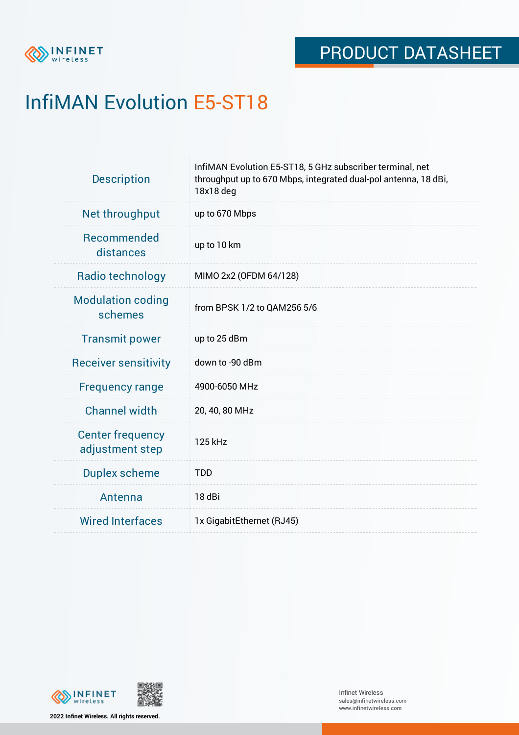

# InfiMAN Evolution E5-ST18

| <b>Description</b>                         | InfiMAN Evolution E5-ST18, 5 GHz subscriber terminal, net<br>throughput up to 670 Mbps, integrated dual-pol antenna, 18 dBi,<br>18x18 deg |  |  |  |
|--------------------------------------------|-------------------------------------------------------------------------------------------------------------------------------------------|--|--|--|
| Net throughput                             | up to 670 Mbps                                                                                                                            |  |  |  |
| Recommended<br>distances                   | up to 10 km                                                                                                                               |  |  |  |
| Radio technology                           | MIMO 2x2 (OFDM 64/128)                                                                                                                    |  |  |  |
| <b>Modulation coding</b><br>schemes        | from BPSK 1/2 to QAM256 5/6                                                                                                               |  |  |  |
| <b>Transmit power</b>                      | up to 25 dBm                                                                                                                              |  |  |  |
| <b>Receiver sensitivity</b>                | down to -90 dBm                                                                                                                           |  |  |  |
| <b>Frequency range</b>                     | 4900-6050 MHz                                                                                                                             |  |  |  |
| <b>Channel width</b>                       | 20, 40, 80 MHz                                                                                                                            |  |  |  |
| <b>Center frequency</b><br>adjustment step | 125 kHz                                                                                                                                   |  |  |  |
| <b>Duplex scheme</b>                       | <b>TDD</b>                                                                                                                                |  |  |  |
| Antenna                                    | 18 dBi                                                                                                                                    |  |  |  |
| <b>Wired Interfaces</b>                    | 1x GigabitEthernet (RJ45)                                                                                                                 |  |  |  |



**2022 Infinet Wireless. All rights reserved.**

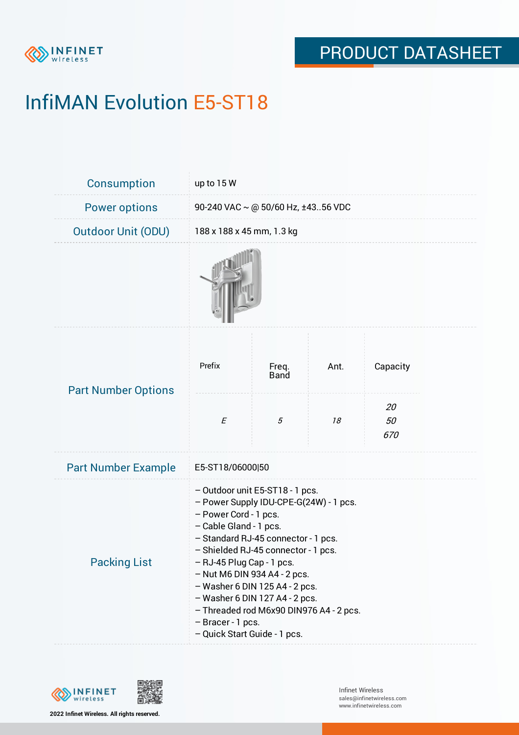

# InfiMAN Evolution E5-ST18

| Consumption                | up to 15 W                                                                                                                                                                                                                                                                                                                                                                                                                                        |                      |      |                 |  |  |
|----------------------------|---------------------------------------------------------------------------------------------------------------------------------------------------------------------------------------------------------------------------------------------------------------------------------------------------------------------------------------------------------------------------------------------------------------------------------------------------|----------------------|------|-----------------|--|--|
| <b>Power options</b>       | 90-240 VAC $\sim$ @ 50/60 Hz, ±4356 VDC                                                                                                                                                                                                                                                                                                                                                                                                           |                      |      |                 |  |  |
| <b>Outdoor Unit (ODU)</b>  | 188 x 188 x 45 mm, 1.3 kg                                                                                                                                                                                                                                                                                                                                                                                                                         |                      |      |                 |  |  |
|                            |                                                                                                                                                                                                                                                                                                                                                                                                                                                   |                      |      |                 |  |  |
| <b>Part Number Options</b> | Prefix                                                                                                                                                                                                                                                                                                                                                                                                                                            | Freq.<br><b>Band</b> | Ant. | Capacity        |  |  |
|                            | $\cal E$                                                                                                                                                                                                                                                                                                                                                                                                                                          | 5                    | 18   | 20<br>50<br>670 |  |  |
| <b>Part Number Example</b> | E5-ST18/06000 50                                                                                                                                                                                                                                                                                                                                                                                                                                  |                      |      |                 |  |  |
| <b>Packing List</b>        | - Outdoor unit E5-ST18 - 1 pcs.<br>- Power Supply IDU-CPE-G(24W) - 1 pcs.<br>- Power Cord - 1 pcs.<br>- Cable Gland - 1 pcs.<br>- Standard RJ-45 connector - 1 pcs.<br>- Shielded RJ-45 connector - 1 pcs.<br>- RJ-45 Plug Cap - 1 pcs.<br>$-$ Nut M6 DIN 934 A4 - 2 pcs.<br>$-$ Washer 6 DIN 125 A4 - 2 pcs.<br>$-$ Washer 6 DIN 127 A4 - 2 pcs.<br>- Threaded rod M6x90 DIN976 A4 - 2 pcs.<br>- Bracer - 1 pcs.<br>- Quick Start Guide - 1 pcs. |                      |      |                 |  |  |



**2022 Infinet Wireless. All rights reserved.**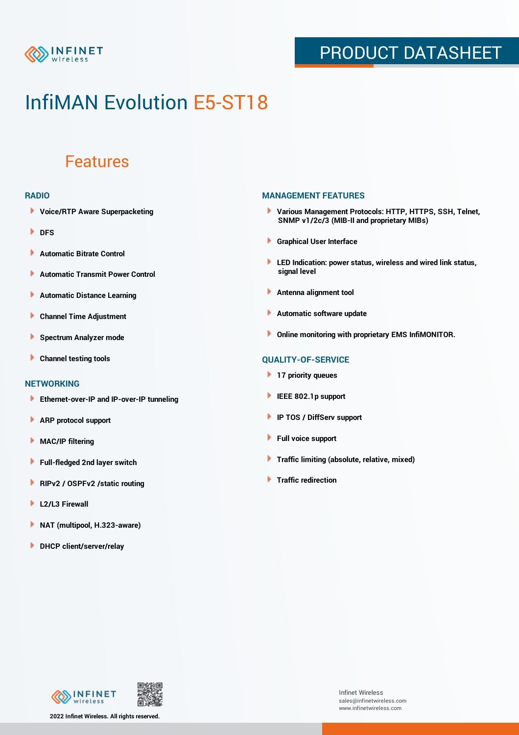

### PRODUCT DATASHEET

## InfiMAN Evolution E5-ST18

### Features

#### **RADIO**

- **Voice/RTP Aware Superpacketing**
- **DFS**
- **Automatic Bitrate Control** Þ
- Þ **Automatic Transmit Power Control**
- Þ **Automatic Distance Learning**
- Þ **Channel Time Adjustment**
- Þ **Spectrum Analyzer mode**
- Þ **Channel testing tools**

### **NETWORKING**

- **Ethernet-over-IP and IP-over-IP tunneling**
- Þ **ARP protocol support**
- **MAC/IP filtering** Þ
- **Full-fledged 2nd layer switch**
- Þ **RIPv2 / OSPFv2 /static routing**
- ٠ **L2/L3 Firewall**
- × **NAT (multipool, H.323-aware)**
- **DHCP client/server/relay**

#### **MANAGEMENT FEATURES**

- **Various Management Protocols: HTTP, HTTPS, SSH, Telnet, SNMP v1/2c/3 (MIB-II and proprietary MIBs)**
- **Graphical User Interface**
- **LED Indication: power status, wireless and wired link status, signal level**
- **Antenna alignment tool**
- ٠ **Automatic software update**
- **Online monitoring with proprietary EMS InfiMONITOR.**

### **QUALITY-OF-SERVICE**

- **17 priority queues**
- **IEEE 802.1p support**
- **IP TOS / DiffServ support**
- ٠ **Full voice support**
- **Traffic limiting (absolute, relative, mixed)** ٠
- **Traffic redirection**



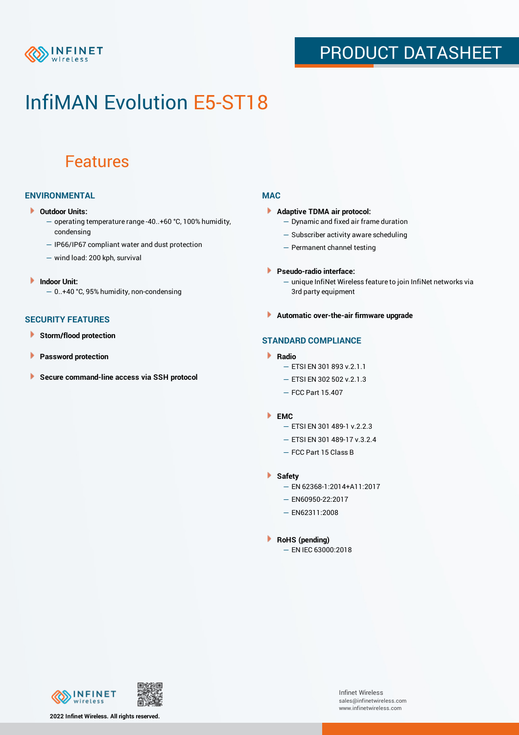

### PRODUCT DATASHEET

## InfiMAN Evolution E5-ST18

### Features

### **ENVIRONMENTAL**

- **Outdoor Units:**
	- operating temperature range -40..+60 °C, 100% humidity, condensing
	- IP66/IP67 compliant water and dust protection
	- wind load: 200 kph, survival
- ¥ **Indoor Unit:**
	- 0..+40 °C, 95% humidity, non-condensing

#### **SECURITY FEATURES**

- Þ **Storm/flood protection**
- Þ **Password protection**
- Þ **Secure command-line access via SSH protocol**

### **MAC**

- **Adaptive TDMA air protocol:**
	- Dynamic and fixed air frame duration
	- Subscriber activity aware scheduling
	- Permanent channel testing
- **Pseudo-radio interface:**
	- unique InfiNet Wireless feature to join InfiNet networks via 3rd party equipment
- **Automatic over-the-air firmware upgrade**

### **STANDARD COMPLIANCE**

- **Radio**
	- ETSI EN 301 893 v.2.1.1
	- ETSI EN 302 502 v.2.1.3
	- FCC Part 15.407

#### **EMC**

- ETSI EN 301 489-1 v.2.2.3
- ETSI EN 301 489-17 v.3.2.4
- FCC Part 15 Class B
- **Safety**
	- EN 62368-1:2014+A11:2017
	- EN60950-22:2017
	- EN62311:2008
- **RoHS (pending)**
	- EN IEC 63000:2018